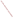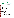### **THE ENVIRONMENTAL TECHNOLOGY VERIFICATION**







# **ETV Joint Verification Statement**

|                                                                 | TECHNOLOGY TYPE: IMMUNOASSAY TEST KITS                  |      |                     |  |
|-----------------------------------------------------------------|---------------------------------------------------------|------|---------------------|--|
| <b>APPLICATION:</b>                                             | DETECTING ANTHRAX, BOTULINUM TOXIN, AND<br><b>RICIN</b> |      |                     |  |
| <b>TECHNOLOGY NAME: BioThreat Alert<sup>®</sup> Test Strips</b> |                                                         |      |                     |  |
| <b>COMPANY:</b>                                                 | Tetracore, Inc.                                         |      |                     |  |
| <b>ADDRESS:</b>                                                 | 11 Firstfield Road, Suite C                             |      | PHONE: 301-258-7553 |  |
|                                                                 | Gaithersburg, MD 20878                                  | FAX: | 301-258-9740        |  |
| <b>WEB SITE:</b>                                                | www.tetracore.com/                                      |      |                     |  |
| E-MAIL:                                                         | tobrien@tetracore.com                                   |      |                     |  |

The U.S. Environmental Protection Agency (EPA) supports the Environmental Technology Verification (ETV) Program to facilitate the deployment of innovative or improved environmental technologies through performance verification and dissemination of information. The goal of the ETV Program is to further environmental protection by accelerating the acceptance and use of improved and cost-effective technologies. ETV seeks to achieve this goal by providing high-quality, peer-reviewed data on technology performance to those involved in the design, distribution, financing, permitting, purchase, and use of environmental technologies. Information and ETV documents are available at www.epa.gov/etv.

ETV works in partnership with recognized standards and testing organizations, with stakeholder groups (consisting of buyers, vendor organizations, and permitters), and with individual technology developers. The program evaluates the performance of innovative technologies by developing test plans that are responsive to the needs of stakeholders, conducting field or laboratory tests (as appropriate), collecting and analyzing data, and preparing peer-reviewed reports. All evaluations are conducted in accordance with rigorous quality assurance (QA) protocols to ensure that data of known and adequate quality are generated and that the results are defensible.

The Advanced Monitoring Systems (AMS) Center, one of six verification centers under ETV, is operated by Battelle in cooperation with EPA's National Exposure Research Laboratory. The AMS Center has recently evaluated the performance of immunoassay test kits used to detect anthrax, botulinum toxin, and ricin. This verification statement provides a summary of the test results for the Tetracore, Inc., BioThreat Alert® test strips.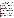#### **VERIFICATION TEST DESCRIPTION**

The ability of the BioThreat Alert<sup>®</sup> test strips to individually detect various concentrations of anthrax spores, botulinum toxin, and ricin was evaluated between January 14 and April 23, 2004, by analyzing performance test (PT) and drinking water (DW) samples. PT samples included deionized (DI) water fortified with either the target contaminant, an interferent, both, or only a cross-reactive species. In addition to the PT and DW samples analyzed, method blank (MB) samples consisting of DI water also were analyzed to confirm negative responses in the absence of contaminants and to ensure that no sources of contamination were introduced during the analysis procedures. MB samples were analyzed by both a trained technician and a non-technical/untrained, first-time user at a non-laboratory location to evaluate the BioThreat Alert® performance and ease of use outside of the laboratory. The test strips generated either positive or negative qualitative results. Verification test results showed how effective the BioThreat Alert<sup>®</sup> test strips were at detecting the presence of each contaminant at several concentration levels, the consistency of the responses, and the susceptibility of the BioThreat Alert<sup>®</sup> test strips to selected interferents and cross-reactive species. In most cases, three replicates of each PT and DW sample were analyzed to evaluate the reproducibility of the BioThreat Alert® test strip results. Approximately 120 liters (L) of four DW samples were collected from geographically distributed municipal sources located in Florida (FL), New York (NY), Ohio (OH), and California (CA). These samples were dechlorinated with sodium thiosulfate, and then 100 L of each sample were concentrated using an ultra-filtration technique to a final volume of 250 milliliters (mL). Each DW sample (non-concentrated and concentrated) was analyzed without adding any contaminant, as well as after fortification with individual contaminants at a single concentration level to evaluate the effect of the DW matrix on the performance of the BioThreat Alert<sup>®</sup> test strips. During the anthrax spore PT sample analysis, the lowest detectable concentration of the BioThreat Alert® test strips was shown to be much higher than claimed by the vendor. Therefore, three preparations of spores were analyzed to further investigate these results. The three preparations included spores prepared at Battelle and preserved in a solution of water and phenol, spores prepared at Battelle and not preserved in phenol, and spores prepared at Dugway Proving Ground and stored in spent culture media. Most of the samples analyzed were made from the Battelle-prepared, phenol-preserved spores. The other two preparations were used to determine if the phenol preservation or the preparation technique was negatively affecting the sensitivity of the BioThreat Alert® test strips. Solutions of vegetative anthrax cells also were analyzed to determine the sensitivity of the BioThreat Alert<sup>®</sup> test strips to vegetative anthrax cells.

QA oversight of verification testing was provided by Battelle and EPA. Battelle QA staff conducted a technical systems audit and a data quality audit of 10% of the test data. This verification statement, the full report on which it is based, and the test/QA plan for this verification are all available at www.epa.gov/etv/centers/center1.html.

#### **TECHNOLOGY DESCRIPTION**

The following description of BioThreat Alert<sup>®</sup> test strips was provided by the vendor and was not subjected to verification in this test.

The BioThreat Alert<sup>®</sup> test strip from Tetracore, Inc., is a lateral flow immunochromatographic device that uses two antibodies in combination to specifically detect target antigen in solution. One of the specific antibodies is labeled with a colloidal gold derivative. Samples applied to the BioThreat Alert<sup>®</sup> test strips mix with the colloidal gold-labeled antibody and move along the strip membrane by capillary action. The second specific antibody captures the colloidal gold-labeled antibody and bound target. When a sufficient amount of target antigen is present, the colloidal gold label accumulates in the sample ("S") window on the test strip, forming a visible reddish-brown colored line. As an internal control, a second band in the control ("C") window indicates that the test strip functioned properly. Two bands or colored lines (in the "S" and "C" windows) are required for a positive result determination. Twenty-five individually packaged BioThreat Alert® test strips (including a disposable pipette) are provided in a small box. In addition to the test strips, the box contains several small plastic vials, 25 mL of sample buffer, and step-by-step instructions. To complete a test on a liquid sample, the sample is mixed with the provided buffer, and five or six drops are added to the sample well of the BioThreat Alert<sup>®</sup> test strip. A positive result is indicated by the appearance of a colored line in the test window of the test strip and can be read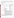visually or with a reader. During this verification test, a reader was used to make the determination of a positive or negative result. One kit of 25 strips including sample buffer, instruction brochure, and vials needed for sampling costs approximately \$625. The Alexeter strip reader used during this verification test costs approximately \$4,000.

#### **VERIFICATION OF PERFORMANCE**

The tables below summarize the performance of the BioThreat Alert<sup>®</sup> test strips in detecting anthrax, botulinum toxin, and ricin.

### **Anthrax Summary Table**

|                                 |                                 |                                                                                                        |                                          | Positive           |  |
|---------------------------------|---------------------------------|--------------------------------------------------------------------------------------------------------|------------------------------------------|--------------------|--|
| <b>Parameter</b>                |                                 | Actual                                                                                                 |                                          | <b>Results Out</b> |  |
|                                 |                                 |                                                                                                        | <b>Fortified Anthrax</b>                 | of Total           |  |
|                                 |                                 | <b>Sample Information</b>                                                                              | Concentration <sup>(a)</sup>             | <b>Replicates</b>  |  |
|                                 |                                 |                                                                                                        | $8 \times 10^8$ spores/mL                | 3/3                |  |
|                                 |                                 |                                                                                                        | $8 \times 10^7$ spores/mL                | 3/3                |  |
|                                 |                                 | Battelle-prepared, phenol-preserved spores                                                             | $8 \times 10^6$ spores/mL                | 0/3                |  |
|                                 |                                 |                                                                                                        | $8 \times 10^5$ spores/mL                | 0/1                |  |
|                                 |                                 |                                                                                                        | $4 \times 10^6$ colony-forming units     | 1/1                |  |
|                                 | Contaminant-<br>only PT samples |                                                                                                        | (cfu)/mL                                 |                    |  |
|                                 |                                 | Vegetative cells                                                                                       | $3 \times 10^5$ cfu/mL                   | 1/1                |  |
|                                 |                                 |                                                                                                        | $3 \times 10^4$ cfu/mL                   | 2/3                |  |
| Qualitative                     |                                 |                                                                                                        | $3 \times 10^3$ cfu/mL                   | 0/1                |  |
| contaminant                     |                                 |                                                                                                        | $7 \times 10^8$ spores/mL                | 2/2                |  |
| results                         |                                 | Dugway-prepared spores                                                                                 | $8 \times 10^7$ spores/mL                | 0/1                |  |
|                                 |                                 | 230 mg/L Calcium (Ca) and                                                                              | $1 \times 10^8$ spores/mL <sup>(b)</sup> |                    |  |
|                                 | Interferent                     | 90 mg/L Magnesium (Mg)                                                                                 |                                          | 0/3                |  |
|                                 | PT samples                      | 2.5 mg/L humic acid and                                                                                | $1 \times 10^8$ spores/mL <sup>(b)</sup> |                    |  |
|                                 |                                 | 2.5 mg/L fulvic acid                                                                                   |                                          | 3/3                |  |
|                                 | DW samples                      | Concentrated CA                                                                                        | $1 \times 10^8$ spores/mL <sup>(b)</sup> | 2/3                |  |
|                                 |                                 | Concentrated NY                                                                                        | $1 \times 10^8$ spores/mL <sup>(b)</sup> | 1/3                |  |
|                                 |                                 | Unconcentrated DW                                                                                      | $1 \times 10^6$ spores/mL                | 0/24               |  |
|                                 | Cross-reactivity                | $1 \times 10^5$ spores/mL <i>Bacillus thuringiensis</i>                                                | unspiked                                 | 0/3                |  |
|                                 |                                 | Two false positives resulted from the analysis of the DW samples. One out of three                     |                                          |                    |  |
|                                 |                                 | replicates for each of the FL DW and concentrated NY DW falsely generated positive                     |                                          |                    |  |
| False positives                 |                                 | results. Bacillus thuringiensis was prepared at concentrations much lower than the lowest              |                                          |                    |  |
|                                 |                                 | detectable concentration of Bacillus anthracis. Therefore, negative results with these                 |                                          |                    |  |
|                                 |                                 | samples do not necessarily indicate a lack of cross-reactivity.                                        |                                          |                    |  |
| False negatives                 |                                 | None of three results was positive for the 230-mg/L Ca and 90-mg/L Mg spiked with a                    |                                          |                    |  |
|                                 |                                 | detectable concentration of anthrax. In addition, one and two false negative results were              |                                          |                    |  |
|                                 |                                 | generated for the concentrated CA and concentrated NY DW samples, respectively.                        |                                          |                    |  |
|                                 |                                 | BioThreat Alert <sup>®</sup> test strips were not able to detect anthrax spores at the vendor-stated   |                                          |                    |  |
|                                 |                                 | limit of detection (LOD). All of the unconcentrated DW samples were spiked at                          |                                          |                    |  |
|                                 |                                 | concentrations less than detectable by the test strips and, therefore, were, as expected,              |                                          |                    |  |
|                                 |                                 | negative.                                                                                              |                                          |                    |  |
| Consistency                     |                                 | 96% (25 of 26 replicates) of the contaminant and interferent PT sample results were                    |                                          |                    |  |
|                                 |                                 | obtained in replicate sets in which all the individual replicates had the same result,                 |                                          |                    |  |
|                                 |                                 | whether positive or negative. This was the case for 78% of the DW samples.                             |                                          |                    |  |
| Lowest detectable concentration |                                 | $8 \times 10^7$ spores/mL - Battelle prep; $7 \times 10^8$ spores/mL - Dugway prep (vendor-stated LOD: |                                          |                    |  |
|                                 |                                 | $1 \times 10^5$ spores/mL); $3 \times 10^4$ cfu/mL - vegetative anthrax (no vendor-stated LOD)         |                                          |                    |  |

 $\frac{a}{a}$  The uncertainty of the enumeration technique is approximately 15%.

Battelle-prepared, phenol-preserved spores.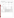## **Botulinum Toxin Summary Table**

|                                                                                                                                      | Parameter                                                                                                                                                                                                                                                            | <b>Sample Information</b>                                                                                                                       | <b>Botulinum Toxin</b><br>Concentration<br>(mg/L) | <b>Positive Results Out of</b><br><b>Total Replicates</b> |
|--------------------------------------------------------------------------------------------------------------------------------------|----------------------------------------------------------------------------------------------------------------------------------------------------------------------------------------------------------------------------------------------------------------------|-------------------------------------------------------------------------------------------------------------------------------------------------|---------------------------------------------------|-----------------------------------------------------------|
|                                                                                                                                      |                                                                                                                                                                                                                                                                      |                                                                                                                                                 | 0.01                                              | 3/3                                                       |
|                                                                                                                                      |                                                                                                                                                                                                                                                                      |                                                                                                                                                 | 0.05                                              | 3/3                                                       |
|                                                                                                                                      |                                                                                                                                                                                                                                                                      | Type A                                                                                                                                          | 0.1                                               | 3/3                                                       |
|                                                                                                                                      | Contaminant-                                                                                                                                                                                                                                                         |                                                                                                                                                 | 0.5                                               | 3/3                                                       |
|                                                                                                                                      | only PT<br>samples                                                                                                                                                                                                                                                   |                                                                                                                                                 | 0.01                                              | 1/3                                                       |
|                                                                                                                                      |                                                                                                                                                                                                                                                                      |                                                                                                                                                 | 0.05                                              | 3/3                                                       |
| Qualitative<br>contaminant<br>positive results                                                                                       |                                                                                                                                                                                                                                                                      | Type B                                                                                                                                          | 0.1                                               | 3/3                                                       |
|                                                                                                                                      |                                                                                                                                                                                                                                                                      |                                                                                                                                                 | 0.3                                               | 3/3                                                       |
|                                                                                                                                      |                                                                                                                                                                                                                                                                      |                                                                                                                                                 | 0.5                                               | 3/3                                                       |
|                                                                                                                                      | Interferent<br>PT samples                                                                                                                                                                                                                                            | Ca and Mg                                                                                                                                       | 0.1                                               | 3/3 Type A<br>$6/6$ Type B                                |
|                                                                                                                                      |                                                                                                                                                                                                                                                                      | Humic acid and fulvic acid                                                                                                                      | 0.1                                               | $3/3$ Type A<br>$6/6$ Type B                              |
|                                                                                                                                      | DW samples                                                                                                                                                                                                                                                           | Concentrated DW                                                                                                                                 | 0.1                                               | $6/6$ Type A<br>$12/12$ Type B                            |
|                                                                                                                                      |                                                                                                                                                                                                                                                                      | Unconcentrated DW                                                                                                                               | 0.1                                               | 12/12 Type B                                              |
|                                                                                                                                      | Cross-reactivity                                                                                                                                                                                                                                                     | 0.1 mg/L Lipopolysaccharide                                                                                                                     | unspiked                                          | 1/3                                                       |
| False positives                                                                                                                      | There was one false positive replicate out of three for the unspiked 2.5-mg/L humic and<br>fulvic acid interferent PT sample; the unspiked concentrated OH DW sample and the<br>lipopolysaccharide each generated one false positive result out of three replicates. |                                                                                                                                                 |                                                   |                                                           |
| False negatives                                                                                                                      | No false negatives resulted from the analysis of the interferent and DW samples spiked<br>with detectable levels of Types A and B botulinum toxin.                                                                                                                   |                                                                                                                                                 |                                                   |                                                           |
| Consistency                                                                                                                          |                                                                                                                                                                                                                                                                      | 92% of the results were obtained in replicate sets in which all the individual replicates<br>had the same result, whether positive or negative. |                                                   |                                                           |
| 0.01 mg/L (Type A); 0.05 mg/L (Type B) (vendor-stated LOD for both Types A and B:<br>Lowest detectable concentration<br>$0.01$ mg/L) |                                                                                                                                                                                                                                                                      |                                                                                                                                                 |                                                   |                                                           |